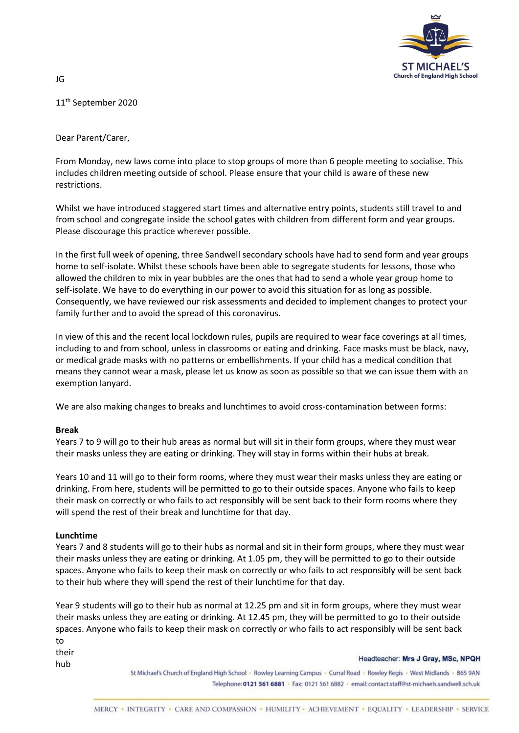

11th September 2020

JG

Dear Parent/Carer,

From Monday, new laws come into place to stop groups of more than 6 people meeting to socialise. This includes children meeting outside of school. Please ensure that your child is aware of these new restrictions.

Whilst we have introduced staggered start times and alternative entry points, students still travel to and from school and congregate inside the school gates with children from different form and year groups. Please discourage this practice wherever possible.

In the first full week of opening, three Sandwell secondary schools have had to send form and year groups home to self-isolate. Whilst these schools have been able to segregate students for lessons, those who allowed the children to mix in year bubbles are the ones that had to send a whole year group home to self-isolate. We have to do everything in our power to avoid this situation for as long as possible. Consequently, we have reviewed our risk assessments and decided to implement changes to protect your family further and to avoid the spread of this coronavirus.

In view of this and the recent local lockdown rules, pupils are required to wear face coverings at all times, including to and from school, unless in classrooms or eating and drinking. Face masks must be black, navy, or medical grade masks with no patterns or embellishments. If your child has a medical condition that means they cannot wear a mask, please let us know as soon as possible so that we can issue them with an exemption lanyard.

We are also making changes to breaks and lunchtimes to avoid cross-contamination between forms:

## **Break**

Years 7 to 9 will go to their hub areas as normal but will sit in their form groups, where they must wear their masks unless they are eating or drinking. They will stay in forms within their hubs at break.

Years 10 and 11 will go to their form rooms, where they must wear their masks unless they are eating or drinking. From here, students will be permitted to go to their outside spaces. Anyone who fails to keep their mask on correctly or who fails to act responsibly will be sent back to their form rooms where they will spend the rest of their break and lunchtime for that day.

## **Lunchtime**

Years 7 and 8 students will go to their hubs as normal and sit in their form groups, where they must wear their masks unless they are eating or drinking. At 1.05 pm, they will be permitted to go to their outside spaces. Anyone who fails to keep their mask on correctly or who fails to act responsibly will be sent back to their hub where they will spend the rest of their lunchtime for that day.

Year 9 students will go to their hub as normal at 12.25 pm and sit in form groups, where they must wear their masks unless they are eating or drinking. At 12.45 pm, they will be permitted to go to their outside spaces. Anyone who fails to keep their mask on correctly or who fails to act responsibly will be sent back to their

hub

## Headteacher: Mrs J Gray, MSc, NPQH

St Michael's Church of England High School - Rowley Learning Campus - Curral Road - Rowley Regis - West Midlands - B65 9AN Telephone: 0121 561 6881 · Fax: 0121 561 6882 · email: contact.staff@st-michaels.sandwell.sch.uk